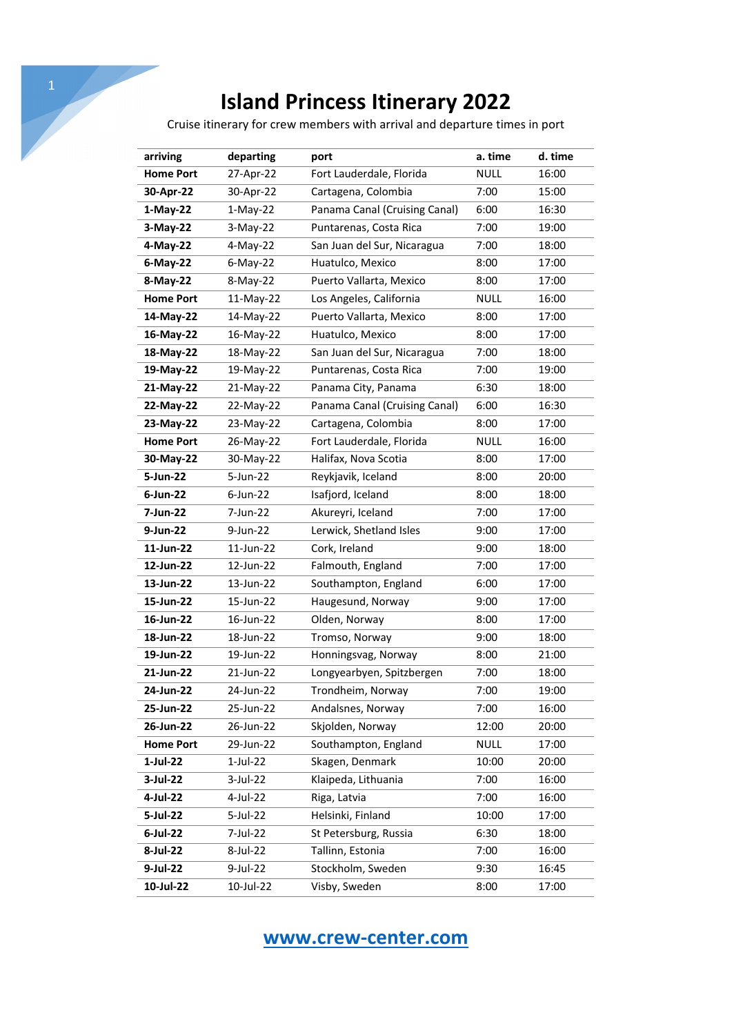Cruise itinerary for crew members with arrival and departure times in port

| arriving         | departing   | port                          | a. time     | d. time |
|------------------|-------------|-------------------------------|-------------|---------|
| <b>Home Port</b> | 27-Apr-22   | Fort Lauderdale, Florida      | <b>NULL</b> | 16:00   |
| 30-Apr-22        | 30-Apr-22   | Cartagena, Colombia           | 7:00        | 15:00   |
| $1-May-22$       | $1-May-22$  | Panama Canal (Cruising Canal) | 6:00        | 16:30   |
| $3-May-22$       | $3-May-22$  | Puntarenas, Costa Rica        | 7:00        | 19:00   |
| 4-May-22         | 4-May-22    | San Juan del Sur, Nicaragua   | 7:00        | 18:00   |
| $6$ -May-22      | $6$ -May-22 | Huatulco, Mexico              | 8:00        | 17:00   |
| 8-May-22         | 8-May-22    | Puerto Vallarta, Mexico       | 8:00        | 17:00   |
| <b>Home Port</b> | 11-May-22   | Los Angeles, California       | <b>NULL</b> | 16:00   |
| 14-May-22        | 14-May-22   | Puerto Vallarta, Mexico       | 8:00        | 17:00   |
| 16-May-22        | 16-May-22   | Huatulco, Mexico              | 8:00        | 17:00   |
| 18-May-22        | 18-May-22   | San Juan del Sur, Nicaragua   | 7:00        | 18:00   |
| 19-May-22        | 19-May-22   | Puntarenas, Costa Rica        | 7:00        | 19:00   |
| 21-May-22        | 21-May-22   | Panama City, Panama           | 6:30        | 18:00   |
| 22-May-22        | 22-May-22   | Panama Canal (Cruising Canal) | 6:00        | 16:30   |
| 23-May-22        | 23-May-22   | Cartagena, Colombia           | 8:00        | 17:00   |
| <b>Home Port</b> | 26-May-22   | Fort Lauderdale, Florida      | <b>NULL</b> | 16:00   |
| 30-May-22        | 30-May-22   | Halifax, Nova Scotia          | 8:00        | 17:00   |
| 5-Jun-22         | 5-Jun-22    | Reykjavik, Iceland            | 8:00        | 20:00   |
| $6$ -Jun-22      | $6$ -Jun-22 | Isafjord, Iceland             | 8:00        | 18:00   |
| 7-Jun-22         | 7-Jun-22    | Akureyri, Iceland             | 7:00        | 17:00   |
| 9-Jun-22         | 9-Jun-22    | Lerwick, Shetland Isles       | 9:00        | 17:00   |
| 11-Jun-22        | 11-Jun-22   | Cork, Ireland                 | 9:00        | 18:00   |
| 12-Jun-22        | 12-Jun-22   | Falmouth, England             | 7:00        | 17:00   |
| 13-Jun-22        | 13-Jun-22   | Southampton, England          | 6:00        | 17:00   |
| 15-Jun-22        | 15-Jun-22   | Haugesund, Norway             | 9:00        | 17:00   |
| 16-Jun-22        | 16-Jun-22   | Olden, Norway                 | 8:00        | 17:00   |
| 18-Jun-22        | 18-Jun-22   | Tromso, Norway                | 9:00        | 18:00   |
| 19-Jun-22        | 19-Jun-22   | Honningsvag, Norway           | 8:00        | 21:00   |
| 21-Jun-22        | 21-Jun-22   | Longyearbyen, Spitzbergen     | 7:00        | 18:00   |
| 24-Jun-22        | 24-Jun-22   | Trondheim, Norway             | 7:00        | 19:00   |
| 25-Jun-22        | 25-Jun-22   | Andalsnes, Norway             | 7:00        | 16:00   |
| 26-Jun-22        | 26-Jun-22   | Skjolden, Norway              | 12:00       | 20:00   |
| <b>Home Port</b> | 29-Jun-22   | Southampton, England          | <b>NULL</b> | 17:00   |
| 1-Jul-22         | $1$ -Jul-22 | Skagen, Denmark               | 10:00       | 20:00   |
| 3-Jul-22         | 3-Jul-22    | Klaipeda, Lithuania           | 7:00        | 16:00   |
| 4-Jul-22         | 4-Jul-22    | Riga, Latvia                  | 7:00        | 16:00   |
| 5-Jul-22         | 5-Jul-22    | Helsinki, Finland             | 10:00       | 17:00   |
| 6-Jul-22         | 7-Jul-22    | St Petersburg, Russia         | 6:30        | 18:00   |
| 8-Jul-22         | 8-Jul-22    | Tallinn, Estonia              | 7:00        | 16:00   |
| 9-Jul-22         | 9-Jul-22    | Stockholm, Sweden             | 9:30        | 16:45   |
| 10-Jul-22        | 10-Jul-22   | Visby, Sweden                 | 8:00        | 17:00   |

## **www.crew-center.com**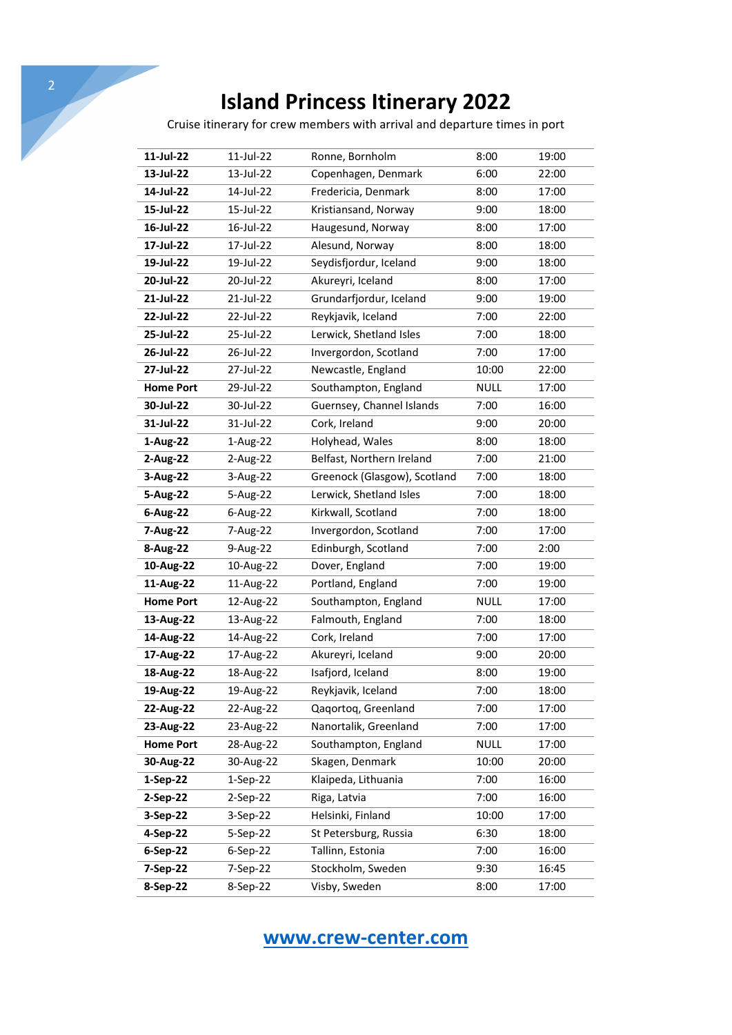Cruise itinerary for crew members with arrival and departure times in port

| 11-Jul-22        | 11-Jul-22  | Ronne, Bornholm              | 8:00        | 19:00 |
|------------------|------------|------------------------------|-------------|-------|
| 13-Jul-22        | 13-Jul-22  | Copenhagen, Denmark          | 6:00        | 22:00 |
| 14-Jul-22        | 14-Jul-22  | Fredericia, Denmark          | 8:00        | 17:00 |
| 15-Jul-22        | 15-Jul-22  | Kristiansand, Norway         | 9:00        | 18:00 |
| 16-Jul-22        | 16-Jul-22  | Haugesund, Norway            | 8:00        | 17:00 |
| 17-Jul-22        | 17-Jul-22  | Alesund, Norway              | 8:00        | 18:00 |
| 19-Jul-22        | 19-Jul-22  | Seydisfjordur, Iceland       | 9:00        | 18:00 |
| 20-Jul-22        | 20-Jul-22  | Akureyri, Iceland            | 8:00        | 17:00 |
| 21-Jul-22        | 21-Jul-22  | Grundarfjordur, Iceland      | 9:00        | 19:00 |
| 22-Jul-22        | 22-Jul-22  | Reykjavik, Iceland           | 7:00        | 22:00 |
| 25-Jul-22        | 25-Jul-22  | Lerwick, Shetland Isles      | 7:00        | 18:00 |
| 26-Jul-22        | 26-Jul-22  | Invergordon, Scotland        | 7:00        | 17:00 |
| 27-Jul-22        | 27-Jul-22  | Newcastle, England           | 10:00       | 22:00 |
| <b>Home Port</b> | 29-Jul-22  | Southampton, England         | <b>NULL</b> | 17:00 |
| 30-Jul-22        | 30-Jul-22  | Guernsey, Channel Islands    | 7:00        | 16:00 |
| 31-Jul-22        | 31-Jul-22  | Cork, Ireland                | 9:00        | 20:00 |
| 1-Aug-22         | 1-Aug-22   | Holyhead, Wales              | 8:00        | 18:00 |
| 2-Aug-22         | 2-Aug-22   | Belfast, Northern Ireland    | 7:00        | 21:00 |
| 3-Aug-22         | 3-Aug-22   | Greenock (Glasgow), Scotland | 7:00        | 18:00 |
| 5-Aug-22         | 5-Aug-22   | Lerwick, Shetland Isles      | 7:00        | 18:00 |
| 6-Aug-22         | 6-Aug-22   | Kirkwall, Scotland           | 7:00        | 18:00 |
| 7-Aug-22         | 7-Aug-22   | Invergordon, Scotland        | 7:00        | 17:00 |
| 8-Aug-22         | 9-Aug-22   | Edinburgh, Scotland          | 7:00        | 2:00  |
| 10-Aug-22        | 10-Aug-22  | Dover, England               | 7:00        | 19:00 |
| 11-Aug-22        | 11-Aug-22  | Portland, England            | 7:00        | 19:00 |
| <b>Home Port</b> | 12-Aug-22  | Southampton, England         | <b>NULL</b> | 17:00 |
| 13-Aug-22        | 13-Aug-22  | Falmouth, England            | 7:00        | 18:00 |
| 14-Aug-22        | 14-Aug-22  | Cork, Ireland                | 7:00        | 17:00 |
| 17-Aug-22        | 17-Aug-22  | Akureyri, Iceland            | 9:00        | 20:00 |
| 18-Aug-22        | 18-Aug-22  | Isafjord, Iceland            | 8:00        | 19:00 |
| 19-Aug-22        | 19-Aug-22  | Reykjavik, Iceland           | 7:00        | 18:00 |
| 22-Aug-22        | 22-Aug-22  | Qaqortoq, Greenland          | 7:00        | 17:00 |
| 23-Aug-22        | 23-Aug-22  | Nanortalik, Greenland        | 7:00        | 17:00 |
| <b>Home Port</b> | 28-Aug-22  | Southampton, England         | <b>NULL</b> | 17:00 |
| 30-Aug-22        | 30-Aug-22  | Skagen, Denmark              | 10:00       | 20:00 |
| 1-Sep-22         | $1-Sep-22$ | Klaipeda, Lithuania          | 7:00        | 16:00 |
| 2-Sep-22         | $2-Sep-22$ | Riga, Latvia                 | 7:00        | 16:00 |
| 3-Sep-22         | 3-Sep-22   | Helsinki, Finland            | 10:00       | 17:00 |
| 4-Sep-22         | 5-Sep-22   | St Petersburg, Russia        | 6:30        | 18:00 |
| 6-Sep-22         | $6-Sep-22$ | Tallinn, Estonia             | 7:00        | 16:00 |
| 7-Sep-22         | 7-Sep-22   | Stockholm, Sweden            | 9:30        | 16:45 |
| 8-Sep-22         | 8-Sep-22   | Visby, Sweden                | 8:00        | 17:00 |
|                  |            |                              |             |       |

**www.crew-center.com**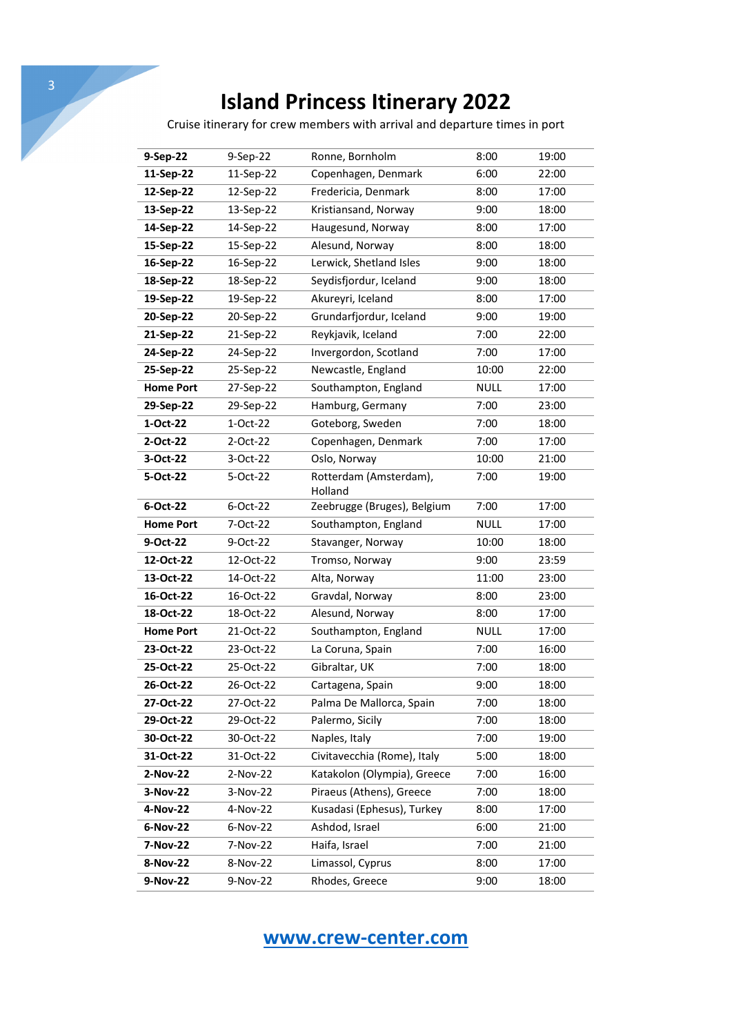Cruise itinerary for crew members with arrival and departure times in port

| 9-Sep-22         | 9-Sep-22  | Ronne, Bornholm                   | 8:00        | 19:00 |
|------------------|-----------|-----------------------------------|-------------|-------|
| 11-Sep-22        | 11-Sep-22 | Copenhagen, Denmark               | 6:00        | 22:00 |
| 12-Sep-22        | 12-Sep-22 | Fredericia, Denmark               | 8:00        | 17:00 |
| 13-Sep-22        | 13-Sep-22 | Kristiansand, Norway              | 9:00        | 18:00 |
| 14-Sep-22        | 14-Sep-22 | Haugesund, Norway                 | 8:00        | 17:00 |
| 15-Sep-22        | 15-Sep-22 | Alesund, Norway                   | 8:00        | 18:00 |
| 16-Sep-22        | 16-Sep-22 | Lerwick, Shetland Isles           | 9:00        | 18:00 |
| 18-Sep-22        | 18-Sep-22 | Seydisfjordur, Iceland            | 9:00        | 18:00 |
| 19-Sep-22        | 19-Sep-22 | Akureyri, Iceland                 | 8:00        | 17:00 |
| 20-Sep-22        | 20-Sep-22 | Grundarfjordur, Iceland           | 9:00        | 19:00 |
| 21-Sep-22        | 21-Sep-22 | Reykjavik, Iceland                | 7:00        | 22:00 |
| 24-Sep-22        | 24-Sep-22 | Invergordon, Scotland             | 7:00        | 17:00 |
| 25-Sep-22        | 25-Sep-22 | Newcastle, England                | 10:00       | 22:00 |
| <b>Home Port</b> | 27-Sep-22 | Southampton, England              | <b>NULL</b> | 17:00 |
| 29-Sep-22        | 29-Sep-22 | Hamburg, Germany                  | 7:00        | 23:00 |
| 1-Oct-22         | 1-Oct-22  | Goteborg, Sweden                  | 7:00        | 18:00 |
| 2-Oct-22         | 2-Oct-22  | Copenhagen, Denmark               | 7:00        | 17:00 |
| 3-Oct-22         | 3-Oct-22  | Oslo, Norway                      | 10:00       | 21:00 |
| 5-Oct-22         | 5-Oct-22  | Rotterdam (Amsterdam),<br>Holland | 7:00        | 19:00 |
| 6-Oct-22         | 6-Oct-22  | Zeebrugge (Bruges), Belgium       | 7:00        | 17:00 |
| <b>Home Port</b> | 7-Oct-22  | Southampton, England              | <b>NULL</b> | 17:00 |
| 9-Oct-22         | 9-Oct-22  | Stavanger, Norway                 | 10:00       | 18:00 |
| 12-Oct-22        | 12-Oct-22 | Tromso, Norway                    | 9:00        | 23:59 |
| 13-Oct-22        | 14-Oct-22 | Alta, Norway                      | 11:00       | 23:00 |
| 16-Oct-22        | 16-Oct-22 | Gravdal, Norway                   | 8:00        | 23:00 |
| 18-Oct-22        | 18-Oct-22 | Alesund, Norway                   | 8:00        | 17:00 |
| <b>Home Port</b> | 21-Oct-22 | Southampton, England              | <b>NULL</b> | 17:00 |
| 23-Oct-22        | 23-Oct-22 | La Coruna, Spain                  | 7:00        | 16:00 |
| 25-Oct-22        | 25-Oct-22 | Gibraltar, UK                     | 7:00        | 18:00 |
| 26-Oct-22        | 26-Oct-22 | Cartagena, Spain                  | 9:00        | 18:00 |
| 27-Oct-22        | 27-Oct-22 | Palma De Mallorca, Spain          | 7:00        | 18:00 |
| 29-Oct-22        | 29-Oct-22 | Palermo, Sicily                   | 7:00        | 18:00 |
| 30-Oct-22        | 30-Oct-22 | Naples, Italy                     | 7:00        | 19:00 |
| 31-Oct-22        | 31-Oct-22 | Civitavecchia (Rome), Italy       | 5:00        | 18:00 |
| 2-Nov-22         | 2-Nov-22  | Katakolon (Olympia), Greece       | 7:00        | 16:00 |
| 3-Nov-22         | 3-Nov-22  | Piraeus (Athens), Greece          | 7:00        | 18:00 |
| 4-Nov-22         | 4-Nov-22  | Kusadasi (Ephesus), Turkey        | 8:00        | 17:00 |
| 6-Nov-22         | 6-Nov-22  | Ashdod, Israel                    | 6:00        | 21:00 |
| 7-Nov-22         |           |                                   |             |       |
|                  | 7-Nov-22  | Haifa, Israel                     | 7:00        | 21:00 |
| 8-Nov-22         | 8-Nov-22  | Limassol, Cyprus                  | 8:00        | 17:00 |

**www.crew-center.com**